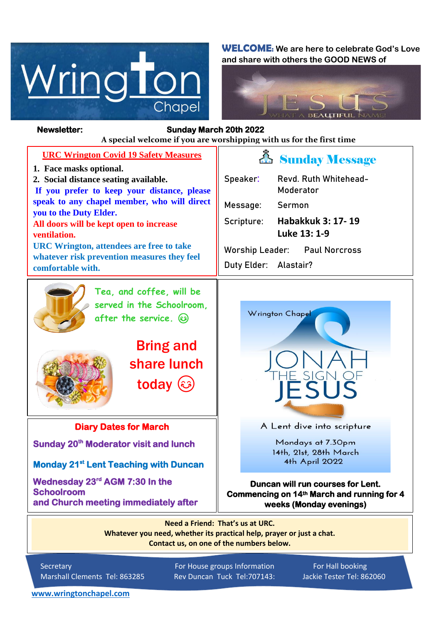

**WELCOME: We are here to celebrate God's Love and share with others the GOOD NEWS of**



## **Newsletter: Sunday March 20th 2022**

*Figure 1ready steady* **A special welcome if you are worshipping with us for the first time**

| <b>URC Wrington Covid 19 Safety Measures</b><br>1. Face masks optional.<br>2. Social distance seating available.<br>If you prefer to keep your distance, please<br>speak to any chapel member, who will direct<br>you to the Duty Elder.<br>All doors will be kept open to increase<br>ventilation.<br><b>URC Wrington, attendees are free to take</b><br>whatever risk prevention measures they feel<br>comfortable with. | <b>A</b> Sunday Message<br>Revd. Ruth Whitehead-<br>Speaker:<br>Moderator<br>Message:<br>Sermon<br><b>Habakkuk 3: 17-19</b><br>Scripture:<br>Luke 13: 1-9<br><b>Worship Leader:</b><br><b>Paul Norcross</b><br>Alastair?<br>Duty Elder: |
|----------------------------------------------------------------------------------------------------------------------------------------------------------------------------------------------------------------------------------------------------------------------------------------------------------------------------------------------------------------------------------------------------------------------------|-----------------------------------------------------------------------------------------------------------------------------------------------------------------------------------------------------------------------------------------|
| Tea, and coffee, will be<br>served in the Schoolroom.<br>after the service. 3<br><b>Bring and</b><br>share lunch<br>today (s)                                                                                                                                                                                                                                                                                              | Wrington Chapel<br>THE SIGN OF                                                                                                                                                                                                          |
| <b>Diary Dates for March</b>                                                                                                                                                                                                                                                                                                                                                                                               | A Lent dive into scripture                                                                                                                                                                                                              |
| Sunday 20 <sup>th</sup> Moderator visit and lunch                                                                                                                                                                                                                                                                                                                                                                          | Mondays at 7.30pm<br>14th, 21st, 28th March<br>4th April 2022                                                                                                                                                                           |
| <b>Monday 21st Lent Teaching with Duncan</b>                                                                                                                                                                                                                                                                                                                                                                               |                                                                                                                                                                                                                                         |
| Wednesday 23rd AGM 7:30 In the<br><b>Schoolroom</b><br>and Church meeting immediately after                                                                                                                                                                                                                                                                                                                                | Duncan will run courses for Lent.<br>Commencing on 14th March and running for 4<br>weeks (Monday evenings)                                                                                                                              |
| Need a Friend: That's us at URC.<br>$\mathbf{r}$ , and the second contract of the second contract of the second contract of the second contract of the second contract of the second contract of the second contract of the second contract of the second contract of                                                                                                                                                      |                                                                                                                                                                                                                                         |

**Whatever you need, whether its practical help, prayer or just a chat. Contact us, on one of the numbers below.**

Secretary For House groups Information For Hall booking Marshall Clements Tel: 863285 Rev Duncan Tuck Tel:707143: Jackie Tester Tel: 862060

**[www.wringtonchapel.com](http://www.wringtonchapel.com/)**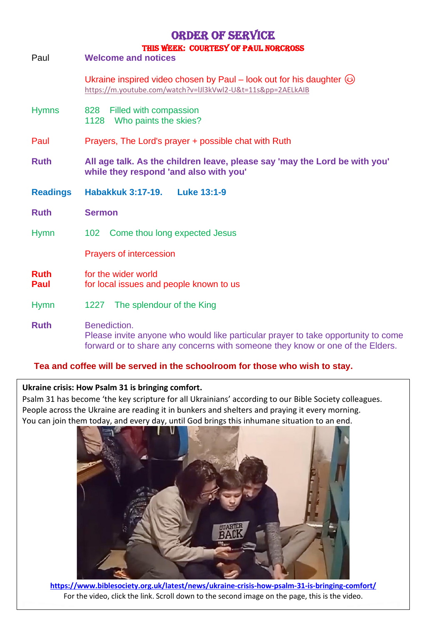# Order of Service

| Paul                | THIS HEEK. COUNTEST OF FAUL NORCROSS<br><b>Welcome and notices</b>                                                                                                                 |  |
|---------------------|------------------------------------------------------------------------------------------------------------------------------------------------------------------------------------|--|
|                     | Ukraine inspired video chosen by Paul – look out for his daughter $\circled{e}$<br>https://m.youtube.com/watch?v=IJI3kVwI2-U&t=11s&pp=2AELkAIB                                     |  |
| <b>Hymns</b>        | Filled with compassion<br>828<br>1128 Who paints the skies?                                                                                                                        |  |
| Paul                | Prayers, The Lord's prayer + possible chat with Ruth                                                                                                                               |  |
| <b>Ruth</b>         | All age talk. As the children leave, please say 'may the Lord be with you'<br>while they respond 'and also with you'                                                               |  |
| <b>Readings</b>     | <b>Luke 13:1-9</b><br>Habakkuk 3:17-19.                                                                                                                                            |  |
| <b>Ruth</b>         | <b>Sermon</b>                                                                                                                                                                      |  |
| <b>Hymn</b>         | 102 Come thou long expected Jesus                                                                                                                                                  |  |
|                     | <b>Prayers of intercession</b>                                                                                                                                                     |  |
| <b>Ruth</b><br>Paul | for the wider world<br>for local issues and people known to us                                                                                                                     |  |
| <b>Hymn</b>         | 1227 The splendour of the King                                                                                                                                                     |  |
| <b>Ruth</b>         | Benediction.<br>Please invite anyone who would like particular prayer to take opportunity to come<br>forward or to share any concerns with someone they know or one of the Elders. |  |

### **Tea and coffee will be served in the schoolroom for those who wish to stay.**

#### **Ukraine crisis: How Psalm 31 is bringing comfort.**

Psalm 31 has become 'the key scripture for all Ukrainians' according to our Bible Society colleagues. People across the Ukraine are reading it in bunkers and shelters and praying it every morning. You can join them today, and every day, until God brings this inhumane situation to an end.



**<https://www.biblesociety.org.uk/latest/news/ukraine-crisis-how-psalm-31-is-bringing-comfort/>** For the video, click the link. Scroll down to the second image on the page, this is the video.